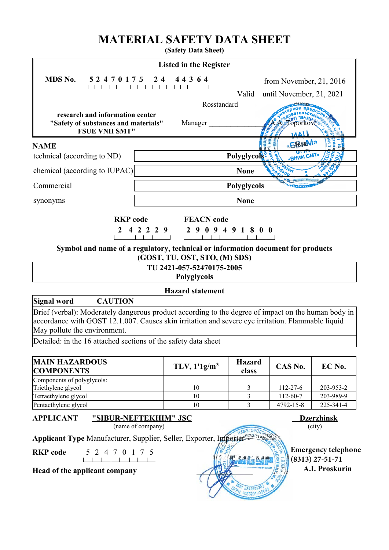# **MATERIAL SAFETY DATA SHEET**

**(Safety Data Sheet)**

| <b>Listed in the Register</b>                                                                                                     |                               |                        |                           |                                                 |
|-----------------------------------------------------------------------------------------------------------------------------------|-------------------------------|------------------------|---------------------------|-------------------------------------------------|
| MDS No.<br>5 2 4 7 0 1 7 5                                                                                                        | 4 4 3 6 4<br>$2\;4$           |                        | from November, $21, 2016$ |                                                 |
|                                                                                                                                   |                               | Valid                  | until November, 21, 2021  |                                                 |
|                                                                                                                                   | Rosstandard                   |                        |                           |                                                 |
| research and information center                                                                                                   |                               |                        |                           |                                                 |
| "Safety of substances and materials"<br><b>FSUE VNII SMT"</b>                                                                     | Manager                       |                        |                           |                                                 |
|                                                                                                                                   |                               |                        | «БВиМ»                    |                                                 |
| <b>NAME</b>                                                                                                                       |                               |                        |                           |                                                 |
| technical (according to ND)                                                                                                       |                               | Polyglycols            | «BHWW CMT»                |                                                 |
| chemical (according to IUPAC)                                                                                                     |                               | <b>None</b>            |                           |                                                 |
| Commercial                                                                                                                        |                               | Polyglycols            |                           |                                                 |
| synonyms                                                                                                                          |                               | <b>None</b>            |                           |                                                 |
| <b>RKP</b> code                                                                                                                   | <b>FEACN</b> code             |                        |                           |                                                 |
| 4 2 2 2 9<br>2                                                                                                                    | 2 9 0 9 4 9 1 8 0 0           |                        |                           |                                                 |
|                                                                                                                                   |                               |                        |                           |                                                 |
| Symbol and name of a regulatory, technical or information document for products                                                   | (GOST, TU, OST, STO, (M) SDS) |                        |                           |                                                 |
|                                                                                                                                   | TU 2421-057-52470175-2005     |                        |                           |                                                 |
|                                                                                                                                   | Polyglycols                   |                        |                           |                                                 |
|                                                                                                                                   | <b>Hazard statement</b>       |                        |                           |                                                 |
| <b>Signal word</b><br><b>CAUTION</b>                                                                                              |                               |                        |                           |                                                 |
| Brief (verbal): Moderately dangerous product according to the degree of impact on the human body in                               |                               |                        |                           |                                                 |
| accordance with GOST 12.1.007. Causes skin irritation and severe eye irritation. Flammable liquid<br>May pollute the environment. |                               |                        |                           |                                                 |
| Detailed: in the 16 attached sections of the safety data sheet                                                                    |                               |                        |                           |                                                 |
|                                                                                                                                   |                               |                        |                           |                                                 |
| <b>MAIN HAZARDOUS</b><br><b>COMPONENTS</b>                                                                                        | TLV, $1'1g/m3$                | <b>Hazard</b><br>class | CAS No.                   | EC No.                                          |
| Components of polyglycols:<br>Triethylene glycol                                                                                  | 10                            | 3                      | 112-27-6                  | 203-953-2                                       |
| Tetraethylene glycol                                                                                                              | 10                            | 3                      | $112 - 60 - 7$            | 203-989-9                                       |
| Pentaethylene glycol                                                                                                              | 10                            | 3                      | 4792-15-8                 | 225-341-4                                       |
| <b>APPLICANT</b><br>"SIBUR-NEFTEKHIM" JSC                                                                                         |                               |                        |                           | <b>Dzerzhinsk</b>                               |
| (name of company)                                                                                                                 |                               |                        |                           | (city)                                          |
| Applicant Type Manufacturer, Supplier, Seller, Exporter, Importer                                                                 |                               |                        |                           |                                                 |
| <b>RKP</b> code<br>$\boldsymbol{0}$<br>5<br>2<br>4 7<br>$\mathbf{1}$<br>$7\phantom{.0}$<br>$\mathcal{L}$                          |                               |                        |                           | <b>Emergency telephone</b><br>$(8313)$ 27-51-71 |
| Head of the applicant company                                                                                                     |                               |                        |                           | A.I. Proskurin                                  |
|                                                                                                                                   |                               |                        |                           |                                                 |
|                                                                                                                                   |                               | 524905                 |                           |                                                 |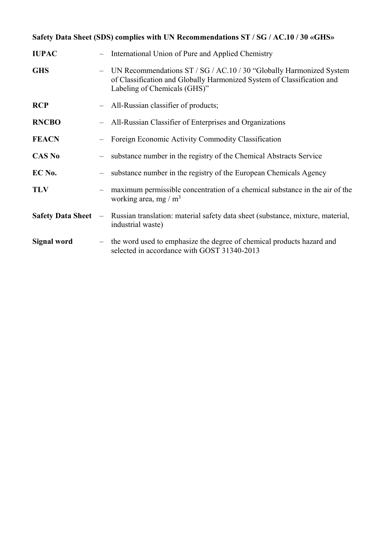# **Safety Data Sheet (SDS) complies with UN Recommendations ST / SG / AC.10 / 30 «GHS»**

| <b>IUPAC</b>             |                                 | International Union of Pure and Applied Chemistry                                                                                                                             |
|--------------------------|---------------------------------|-------------------------------------------------------------------------------------------------------------------------------------------------------------------------------|
| <b>GHS</b>               |                                 | UN Recommendations ST / SG / AC.10 / 30 "Globally Harmonized System<br>of Classification and Globally Harmonized System of Classification and<br>Labeling of Chemicals (GHS)" |
| <b>RCP</b>               |                                 | All-Russian classifier of products;                                                                                                                                           |
| <b>RNCBO</b>             |                                 | All-Russian Classifier of Enterprises and Organizations                                                                                                                       |
| <b>FEACN</b>             |                                 | Foreign Economic Activity Commodity Classification                                                                                                                            |
| <b>CAS No</b>            |                                 | substance number in the registry of the Chemical Abstracts Service                                                                                                            |
| EC No.                   |                                 | substance number in the registry of the European Chemicals Agency                                                                                                             |
| <b>TLV</b>               |                                 | maximum permissible concentration of a chemical substance in the air of the<br>working area, mg / $m3$                                                                        |
| <b>Safety Data Sheet</b> | $\hspace{0.1mm}-\hspace{0.1mm}$ | Russian translation: material safety data sheet (substance, mixture, material,<br>industrial waste)                                                                           |
| Signal word              |                                 | - the word used to emphasize the degree of chemical products hazard and<br>selected in accordance with GOST 31340-2013                                                        |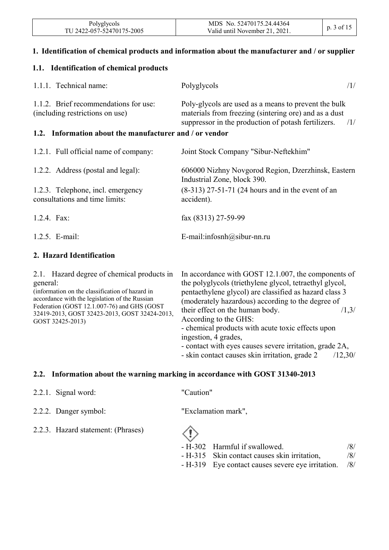| Polyglycols               | MDS No. 52470175.24.44364      |            |
|---------------------------|--------------------------------|------------|
| TU 2422-057-52470175-2005 | Valid until November 21, 2021. | p. 3 of 15 |

#### **1. Identification of chemical products and information about the manufacturer and / or supplier**

#### **1.1. Identification of chemical products**

| 1.1.1. Technical name:                                                   | Polyglycols<br>/1/                                                                                                                                                          |
|--------------------------------------------------------------------------|-----------------------------------------------------------------------------------------------------------------------------------------------------------------------------|
| 1.1.2. Brief recommendations for use:<br>(including restrictions on use) | Poly-glycols are used as a means to prevent the bulk<br>materials from freezing (sintering ore) and as a dust<br>suppressor in the production of potash fertilizers.<br>/1/ |
| 1.2. Information about the manufacturer and / or vendor                  |                                                                                                                                                                             |
| 1.2.1. Full official name of company:                                    | Joint Stock Company "Sibur-Neftekhim"                                                                                                                                       |
| 1.2.2. Address (postal and legal):                                       | 606000 Nizhny Novgorod Region, Dzerzhinsk, Eastern<br>Industrial Zone, block 390.                                                                                           |
| 1.2.3. Telephone, incl. emergency<br>consultations and time limits:      | $(8-313)$ 27-51-71 (24 hours and in the event of an<br>accident).                                                                                                           |
| 1.2.4. Fax:                                                              | fax (8313) 27-59-99                                                                                                                                                         |
| $1.2.5.$ E-mail:                                                         | E-mail:infosnh@sibur-nn.ru                                                                                                                                                  |

#### **2. Hazard Identification**

| 2.1. Hazard degree of chemical products in<br>general:<br>(information on the classification of hazard in<br>accordance with the legislation of the Russian | In accordance with GOST 12.1.007, the components of<br>the polyglycols (triethylene glycol, tetraethyl glycol,<br>pentaethylene glycol) are classified as hazard class 3<br>(moderately hazardous) according to the degree of |
|-------------------------------------------------------------------------------------------------------------------------------------------------------------|-------------------------------------------------------------------------------------------------------------------------------------------------------------------------------------------------------------------------------|
| Federation (GOST 12.1.007-76) and GHS (GOST<br>32419-2013, GOST 32423-2013, GOST 32424-2013,<br>GOST 32425-2013)                                            | their effect on the human body.<br>/1,3/<br>According to the GHS:<br>- chemical products with acute toxic effects upon<br>ingestion, 4 grades,<br>- contact with eyes causes severe irritation, grade 2A,                     |
|                                                                                                                                                             | - skin contact causes skin irritation, grade 2<br>/12,30/                                                                                                                                                                     |

#### **2.2. Information about the warning marking in accordance with GOST 31340-2013**

|  | 2.2.1. Signal word: |  |
|--|---------------------|--|
|--|---------------------|--|

2.2.2. Danger symbol: "Exclamation mark",

2.2.3. Hazard statement: (Phrases)

"Caution"

- H-302 Harmful if swallowed. /8/ - H-315 Skin contact causes skin irritation, /8/
- H-319 Eye contact causes severe eye irritation. /8/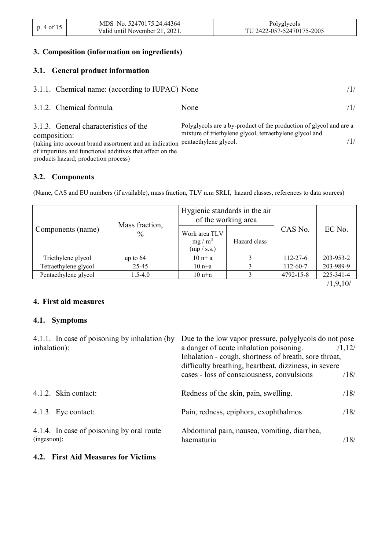| p. 4 of 15 | MDS No. 52470175.24.44364      | Polyglycols               |
|------------|--------------------------------|---------------------------|
|            | Valid until November 21, 2021. | TU 2422-057-52470175-2005 |

#### **3. Composition (information on ingredients)**

#### **3.1. General product information**

| 3.1.1. Chemical name: (according to IUPAC) None                                                                                                                                                                                             |                                                                                                                               |     |
|---------------------------------------------------------------------------------------------------------------------------------------------------------------------------------------------------------------------------------------------|-------------------------------------------------------------------------------------------------------------------------------|-----|
| 3.1.2. Chemical formula                                                                                                                                                                                                                     | None                                                                                                                          | (1/ |
| 3.1.3. General characteristics of the<br>composition:<br>(taking into account brand assortment and an indication pentaethylene glycol.<br>of impurities and functional additives that affect on the<br>products hazard; production process) | Polyglycols are a by-product of the production of glycol and are a<br>mixture of triethylene glycol, tetraethylene glycol and |     |

#### **3.2. Components**

 $\overline{\phantom{a}}$ 

(Name, CAS and EU numbers (if available), mass fraction, TLV или SRLI, hazard classes, references to data sources)

|                      | Mass fraction, | Hygienic standards in the air<br>of the working area |              |                |           |
|----------------------|----------------|------------------------------------------------------|--------------|----------------|-----------|
| Components (name)    | $\frac{0}{0}$  | Work area TLV<br>$mg/m^3$<br>(mp / s.s.)             | Hazard class | CAS No.        | EC No.    |
| Triethylene glycol   | up to $64$     | $10n+a$                                              |              | $112 - 27 - 6$ | 203-953-2 |
| Tetraethylene glycol | 25-45          | $10n+a$                                              |              | 112-60-7       | 203-989-9 |
| Pentaethylene glycol | $1.5 - 4.0$    | $10$ n+n                                             |              | 4792-15-8      | 225-341-4 |

/1,9,10/

#### **4. First aid measures**

#### **4.1. Symptoms**

| 4.1.1. In case of poisoning by inhalation (by<br>inhalation): | Due to the low vapor pressure, polyglycols do not pose<br>a danger of acute inhalation poisoning.<br>Inhalation - cough, shortness of breath, sore throat,<br>difficulty breathing, heartbeat, dizziness, in severe | /1,12/ |
|---------------------------------------------------------------|---------------------------------------------------------------------------------------------------------------------------------------------------------------------------------------------------------------------|--------|
|                                                               | cases - loss of consciousness, convulsions                                                                                                                                                                          | /18/   |
| 4.1.2. Skin contact:                                          | Redness of the skin, pain, swelling.                                                                                                                                                                                | /18/   |
| 4.1.3. Eye contact:                                           | Pain, redness, epiphora, exophthalmos                                                                                                                                                                               | /18/   |
| 4.1.4. In case of poisoning by oral route<br>(ingestion):     | Abdominal pain, nausea, vomiting, diarrhea,<br>haematuria                                                                                                                                                           | /18/   |

#### **4.2. First Aid Measures for Victims**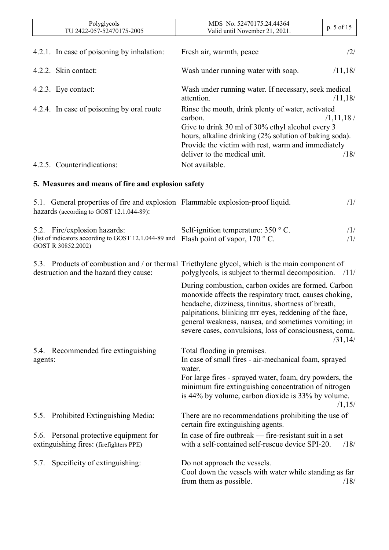|         | Polyglycols<br>TU 2422-057-52470175-2005                                                                                    | MDS No. 52470175.24.44364<br>Valid until November 21, 2021.                                                                                                                                                                                                                                                                                           | p. 5 of 15          |
|---------|-----------------------------------------------------------------------------------------------------------------------------|-------------------------------------------------------------------------------------------------------------------------------------------------------------------------------------------------------------------------------------------------------------------------------------------------------------------------------------------------------|---------------------|
|         | 4.2.1. In case of poisoning by inhalation:                                                                                  | Fresh air, warmth, peace                                                                                                                                                                                                                                                                                                                              | /2/                 |
|         | 4.2.2. Skin contact:                                                                                                        | Wash under running water with soap.                                                                                                                                                                                                                                                                                                                   | /11,18/             |
|         | 4.2.3. Eye contact:                                                                                                         | Wash under running water. If necessary, seek medical<br>attention.                                                                                                                                                                                                                                                                                    | /11,18/             |
|         | 4.2.4. In case of poisoning by oral route                                                                                   | Rinse the mouth, drink plenty of water, activated<br>carbon.<br>Give to drink 30 ml of 30% ethyl alcohol every 3<br>hours, alkaline drinking (2% solution of baking soda).<br>Provide the victim with rest, warm and immediately<br>deliver to the medical unit.                                                                                      | /1, 11, 18/<br>/18/ |
|         | 4.2.5. Counterindications:                                                                                                  | Not available.                                                                                                                                                                                                                                                                                                                                        |                     |
|         | 5. Measures and means of fire and explosion safety                                                                          |                                                                                                                                                                                                                                                                                                                                                       |                     |
|         | 5.1. General properties of fire and explosion Flammable explosion-proof liquid.<br>hazards (according to GOST 12.1.044-89): |                                                                                                                                                                                                                                                                                                                                                       | /1/                 |
|         | 5.2. Fire/explosion hazards:<br>(list of indicators according to GOST 12.1.044-89 and<br>GOST R 30852.2002)                 | Self-ignition temperature: $350 \degree$ C.<br>Flash point of vapor, $170^{\circ}$ C.                                                                                                                                                                                                                                                                 | /1/<br>/1/          |
|         | destruction and the hazard they cause:                                                                                      | 5.3. Products of combustion and / or thermal Triethylene glycol, which is the main component of<br>polyglycols, is subject to thermal decomposition.                                                                                                                                                                                                  | /11/                |
|         |                                                                                                                             | During combustion, carbon oxides are formed. Carbon<br>monoxide affects the respiratory tract, causes choking,<br>headache, dizziness, tinnitus, shortness of breath,<br>palpitations, blinking $\mu$ eyes, reddening of the face,<br>general weakness, nausea, and sometimes vomiting; in<br>severe cases, convulsions, loss of consciousness, coma. | /31,14/             |
| agents: | 5.4. Recommended fire extinguishing                                                                                         | Total flooding in premises.<br>In case of small fires - air-mechanical foam, sprayed<br>water.                                                                                                                                                                                                                                                        |                     |
|         |                                                                                                                             | For large fires - sprayed water, foam, dry powders, the<br>minimum fire extinguishing concentration of nitrogen<br>is 44% by volume, carbon dioxide is 33% by volume.                                                                                                                                                                                 | /1,15/              |
| 5.5.    | Prohibited Extinguishing Media:                                                                                             | There are no recommendations prohibiting the use of<br>certain fire extinguishing agents.                                                                                                                                                                                                                                                             |                     |
|         | 5.6. Personal protective equipment for<br>extinguishing fires: (firefighters PPE)                                           | In case of fire outbreak — fire-resistant suit in a set<br>with a self-contained self-rescue device SPI-20.                                                                                                                                                                                                                                           | /18/                |
| 5.7.    | Specificity of extinguishing:                                                                                               | Do not approach the vessels.<br>Cool down the vessels with water while standing as far<br>from them as possible.                                                                                                                                                                                                                                      | /18/                |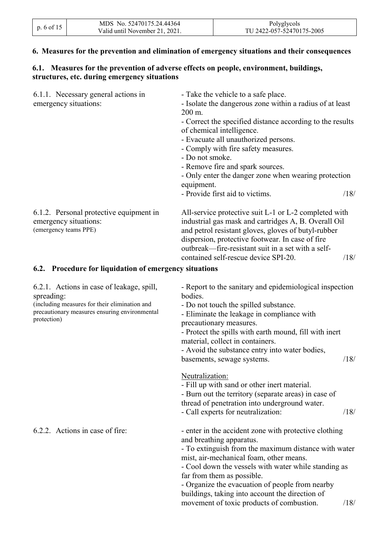| p. 6 of 15 | MDS No. 52470175.24.44364      | Polyglycols               |
|------------|--------------------------------|---------------------------|
|            | Valid until November 21, 2021. | TU 2422-057-52470175-2005 |

#### **6. Measures for the prevention and elimination of emergency situations and their consequences**

#### **6.1. Measures for the prevention of adverse effects on people, environment, buildings, structures, etc. during emergency situations**

| 6.1.1. Necessary general actions in<br>emergency situations:                                                                                                             | - Take the vehicle to a safe place.<br>- Isolate the dangerous zone within a radius of at least<br>200 m.<br>- Correct the specified distance according to the results<br>of chemical intelligence.<br>- Evacuate all unauthorized persons.<br>- Comply with fire safety measures.<br>- Do not smoke.<br>- Remove fire and spark sources.<br>- Only enter the danger zone when wearing protection<br>equipment.               |      |
|--------------------------------------------------------------------------------------------------------------------------------------------------------------------------|-------------------------------------------------------------------------------------------------------------------------------------------------------------------------------------------------------------------------------------------------------------------------------------------------------------------------------------------------------------------------------------------------------------------------------|------|
|                                                                                                                                                                          | - Provide first aid to victims.                                                                                                                                                                                                                                                                                                                                                                                               | /18/ |
| 6.1.2. Personal protective equipment in<br>emergency situations:<br>(emergency teams PPE)                                                                                | All-service protective suit L-1 or L-2 completed with<br>industrial gas mask and cartridges A, B. Overall Oil<br>and petrol resistant gloves, gloves of butyl-rubber<br>dispersion, protective footwear. In case of fire<br>outbreak—fire-resistant suit in a set with a self-                                                                                                                                                | /18/ |
| 6.2. Procedure for liquidation of emergency situations                                                                                                                   | contained self-rescue device SPI-20.                                                                                                                                                                                                                                                                                                                                                                                          |      |
| 6.2.1. Actions in case of leakage, spill,<br>spreading:<br>(including measures for their elimination and<br>precautionary measures ensuring environmental<br>protection) | - Report to the sanitary and epidemiological inspection<br>bodies.<br>- Do not touch the spilled substance.<br>- Eliminate the leakage in compliance with<br>precautionary measures.<br>- Protect the spills with earth mound, fill with inert<br>material, collect in containers.<br>- Avoid the substance entry into water bodies,<br>basements, sewage systems.                                                            | /18/ |
|                                                                                                                                                                          | Neutralization:<br>- Fill up with sand or other inert material.<br>- Burn out the territory (separate areas) in case of<br>thread of penetration into underground water.<br>- Call experts for neutralization:                                                                                                                                                                                                                | /18/ |
| 6.2.2. Actions in case of fire:                                                                                                                                          | - enter in the accident zone with protective clothing<br>and breathing apparatus.<br>- To extinguish from the maximum distance with water<br>mist, air-mechanical foam, other means.<br>- Cool down the vessels with water while standing as<br>far from them as possible.<br>- Organize the evacuation of people from nearby<br>buildings, taking into account the direction of<br>movement of toxic products of combustion. | /18/ |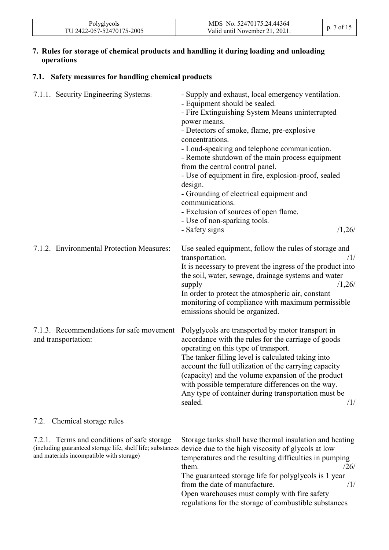| Polyglycols               | MDS No. 52470175.24.44364      | $/$ of $1^{\circ}$ |
|---------------------------|--------------------------------|--------------------|
| TU 2422-057-52470175-2005 | Valid until November 21, 2021. |                    |

#### **7. Rules for storage of chemical products and handling it during loading and unloading operations**

#### **7.1. Safety measures for handling chemical products**

| 7.1.1. Security Engineering Systems:                                                                                                                  | - Supply and exhaust, local emergency ventilation.<br>- Equipment should be sealed.<br>- Fire Extinguishing System Means uninterrupted<br>power means.<br>- Detectors of smoke, flame, pre-explosive<br>concentrations.<br>- Loud-speaking and telephone communication.<br>- Remote shutdown of the main process equipment<br>from the central control panel.<br>- Use of equipment in fire, explosion-proof, sealed<br>design.<br>- Grounding of electrical equipment and<br>communications.<br>- Exclusion of sources of open flame.<br>- Use of non-sparking tools.<br>/1,26/<br>- Safety signs |
|-------------------------------------------------------------------------------------------------------------------------------------------------------|----------------------------------------------------------------------------------------------------------------------------------------------------------------------------------------------------------------------------------------------------------------------------------------------------------------------------------------------------------------------------------------------------------------------------------------------------------------------------------------------------------------------------------------------------------------------------------------------------|
| 7.1.2. Environmental Protection Measures:                                                                                                             | Use sealed equipment, follow the rules of storage and<br>transportation.<br>/1/<br>It is necessary to prevent the ingress of the product into<br>the soil, water, sewage, drainage systems and water<br>/1,26/<br>supply<br>In order to protect the atmospheric air, constant<br>monitoring of compliance with maximum permissible<br>emissions should be organized.                                                                                                                                                                                                                               |
| 7.1.3. Recommendations for safe movement<br>and transportation:                                                                                       | Polyglycols are transported by motor transport in<br>accordance with the rules for the carriage of goods<br>operating on this type of transport.<br>The tanker filling level is calculated taking into<br>account the full utilization of the carrying capacity<br>(capacity) and the volume expansion of the product<br>with possible temperature differences on the way.<br>Any type of container during transportation must be<br>sealed.<br>/1/                                                                                                                                                |
| Chemical storage rules<br>7.2.                                                                                                                        |                                                                                                                                                                                                                                                                                                                                                                                                                                                                                                                                                                                                    |
| 7.2.1. Terms and conditions of safe storage<br>(including guaranteed storage life, shelf life; substances<br>and materials incompatible with storage) | Storage tanks shall have thermal insulation and heating<br>device due to the high viscosity of glycols at low<br>temperatures and the resulting difficulties in pumping<br>them.<br>/26/<br>The guaranteed storage life for polyglycols is 1 year                                                                                                                                                                                                                                                                                                                                                  |

from the date of manufacture. /1/ Open warehouses must comply with fire safety regulations for the storage of combustible substances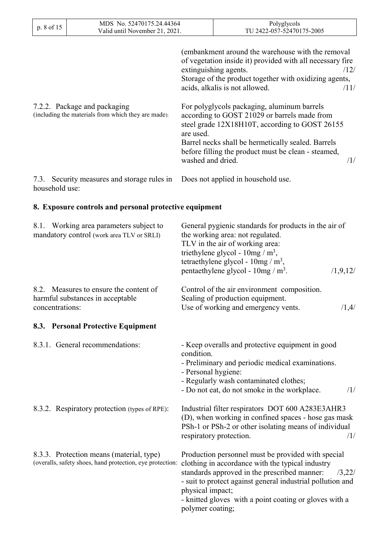| p. 8 of 15 |                 | MDS No. 52470175.24.44364<br>Valid until November 21, 2021.                         |                                | Polyglycols<br>TU 2422-057-52470175-2005                                                                                                                                                                                                                          |
|------------|-----------------|-------------------------------------------------------------------------------------|--------------------------------|-------------------------------------------------------------------------------------------------------------------------------------------------------------------------------------------------------------------------------------------------------------------|
|            |                 |                                                                                     |                                | (embankment around the warehouse with the removal<br>of vegetation inside it) provided with all necessary fire<br>extinguishing agents.<br>/12/<br>Storage of the product together with oxidizing agents,<br>acids, alkalis is not allowed.<br>/11/               |
|            |                 | 7.2.2. Package and packaging<br>(including the materials from which they are made): | are used.<br>washed and dried. | For polyglycols packaging, aluminum barrels<br>according to GOST 21029 or barrels made from<br>steel grade 12X18H10T, according to GOST 26155<br>Barrel necks shall be hermetically sealed. Barrels<br>before filling the product must be clean - steamed,<br>/1/ |
|            | household use:  | 7.3. Security measures and storage rules in                                         |                                | Does not applied in household use.                                                                                                                                                                                                                                |
|            |                 | 8. Exposure controls and personal protective equipment                              |                                |                                                                                                                                                                                                                                                                   |
| 8.1.       |                 | Working area parameters subject to<br>mandatory control (work area TLV or SRLI)     |                                | General pygienic standards for products in the air of<br>the working area: not regulated.<br>TLV in the air of working area:<br>triethylene glycol - $10mg/m^3$ ,<br>tetraethylene glycol - $10mg/m^3$ ,<br>pentaethylene glycol - $10mg/m^3$ .<br>/1,9,12/       |
|            | concentrations: | 8.2. Measures to ensure the content of<br>harmful substances in acceptable          |                                | Control of the air environment composition.<br>Sealing of production equipment.<br>Use of working and emergency vents.<br>/1,4/                                                                                                                                   |
|            |                 | 8.3. Personal Protective Equipment                                                  |                                |                                                                                                                                                                                                                                                                   |

| 8.3.1. General recommendations:                                                                       | - Keep overalls and protective equipment in good<br>condition.<br>- Preliminary and periodic medical examinations.<br>- Personal hygiene:<br>- Regularly wash contaminated clothes;<br>- Do not eat, do not smoke in the workplace.<br>/1/                                                                                       |
|-------------------------------------------------------------------------------------------------------|----------------------------------------------------------------------------------------------------------------------------------------------------------------------------------------------------------------------------------------------------------------------------------------------------------------------------------|
| 8.3.2. Respiratory protection (types of RPE):                                                         | Industrial filter respirators DOT 600 A283E3AHR3<br>(D), when working in confined spaces - hose gas mask<br>PSh-1 or PSh-2 or other isolating means of individual<br>respiratory protection.<br>/1/                                                                                                                              |
| 8.3.3. Protection means (material, type)<br>(overalls, safety shoes, hand protection, eye protection: | Production personnel must be provided with special<br>clothing in accordance with the typical industry<br>standards approved in the prescribed manner:<br>13,221<br>- suit to protect against general industrial pollution and<br>physical impact;<br>- knitted gloves with a point coating or gloves with a<br>polymer coating; |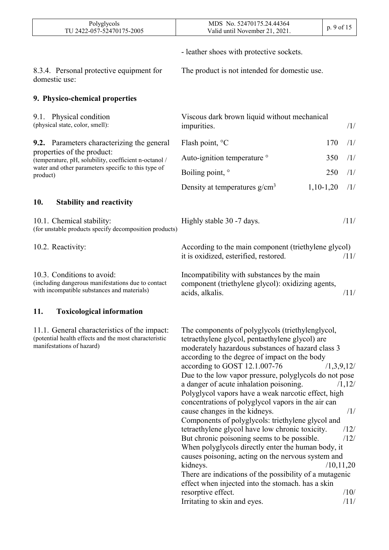| Polyglycols<br>TU 2422-057-52470175-2005                                                                                           | MDS No. 52470175.24.44364<br>Valid until November 21, 2021.                                                                                                                                                                                                                                                                                                                                                                                                                                                                                                                                                                                                                                                                                                                                                                                                                                                                                        | p. 9 of 15                |                                               |
|------------------------------------------------------------------------------------------------------------------------------------|----------------------------------------------------------------------------------------------------------------------------------------------------------------------------------------------------------------------------------------------------------------------------------------------------------------------------------------------------------------------------------------------------------------------------------------------------------------------------------------------------------------------------------------------------------------------------------------------------------------------------------------------------------------------------------------------------------------------------------------------------------------------------------------------------------------------------------------------------------------------------------------------------------------------------------------------------|---------------------------|-----------------------------------------------|
|                                                                                                                                    | - leather shoes with protective sockets.                                                                                                                                                                                                                                                                                                                                                                                                                                                                                                                                                                                                                                                                                                                                                                                                                                                                                                           |                           |                                               |
| 8.3.4. Personal protective equipment for<br>domestic use:                                                                          | The product is not intended for domestic use.                                                                                                                                                                                                                                                                                                                                                                                                                                                                                                                                                                                                                                                                                                                                                                                                                                                                                                      |                           |                                               |
| 9. Physico-chemical properties                                                                                                     |                                                                                                                                                                                                                                                                                                                                                                                                                                                                                                                                                                                                                                                                                                                                                                                                                                                                                                                                                    |                           |                                               |
| 9.1. Physical condition<br>(physical state, color, smell):                                                                         | Viscous dark brown liquid without mechanical<br>impurities.                                                                                                                                                                                                                                                                                                                                                                                                                                                                                                                                                                                                                                                                                                                                                                                                                                                                                        |                           | /1/                                           |
| <b>9.2.</b> Parameters characterizing the general                                                                                  | Flash point, °C                                                                                                                                                                                                                                                                                                                                                                                                                                                                                                                                                                                                                                                                                                                                                                                                                                                                                                                                    | 170                       | /1/                                           |
| properties of the product:<br>(temperature, pH, solubility, coefficient n-octanol /                                                | Auto-ignition temperature <sup>o</sup>                                                                                                                                                                                                                                                                                                                                                                                                                                                                                                                                                                                                                                                                                                                                                                                                                                                                                                             | 350                       | /1/                                           |
| water and other parameters specific to this type of<br>product)                                                                    | Boiling point, °                                                                                                                                                                                                                                                                                                                                                                                                                                                                                                                                                                                                                                                                                                                                                                                                                                                                                                                                   | 250                       | /1/                                           |
|                                                                                                                                    | Density at temperatures $g/cm^3$                                                                                                                                                                                                                                                                                                                                                                                                                                                                                                                                                                                                                                                                                                                                                                                                                                                                                                                   | $1,10-1,20$               | /1/                                           |
| 10.<br><b>Stability and reactivity</b>                                                                                             |                                                                                                                                                                                                                                                                                                                                                                                                                                                                                                                                                                                                                                                                                                                                                                                                                                                                                                                                                    |                           |                                               |
| 10.1. Chemical stability:<br>(for unstable products specify decomposition products)                                                | Highly stable 30 -7 days.                                                                                                                                                                                                                                                                                                                                                                                                                                                                                                                                                                                                                                                                                                                                                                                                                                                                                                                          |                           | /11/                                          |
| 10.2. Reactivity:                                                                                                                  | According to the main component (triethylene glycol)<br>it is oxidized, esterified, restored.                                                                                                                                                                                                                                                                                                                                                                                                                                                                                                                                                                                                                                                                                                                                                                                                                                                      |                           | /11/                                          |
| 10.3. Conditions to avoid:<br>(including dangerous manifestations due to contact<br>with incompatible substances and materials)    | Incompatibility with substances by the main<br>component (triethylene glycol): oxidizing agents,<br>acids, alkalis.                                                                                                                                                                                                                                                                                                                                                                                                                                                                                                                                                                                                                                                                                                                                                                                                                                |                           | /11/                                          |
| <b>Toxicological information</b><br>11.                                                                                            |                                                                                                                                                                                                                                                                                                                                                                                                                                                                                                                                                                                                                                                                                                                                                                                                                                                                                                                                                    |                           |                                               |
| 11.1. General characteristics of the impact:<br>(potential health effects and the most characteristic<br>manifestations of hazard) | The components of polyglycols (triethylenglycol,<br>tetraethylene glycol, pentaethylene glycol) are<br>moderately hazardous substances of hazard class 3<br>according to the degree of impact on the body<br>according to GOST 12.1.007-76<br>Due to the low vapor pressure, polyglycols do not pose<br>a danger of acute inhalation poisoning.<br>Polyglycol vapors have a weak narcotic effect, high<br>concentrations of polyglycol vapors in the air can<br>cause changes in the kidneys.<br>Components of polyglycols: triethylene glycol and<br>tetraethylene glycol have low chronic toxicity.<br>But chronic poisoning seems to be possible.<br>When polyglycols directly enter the human body, it<br>causes poisoning, acting on the nervous system and<br>kidneys.<br>There are indications of the possibility of a mutagenic<br>effect when injected into the stomach. has a skin<br>resorptive effect.<br>Irritating to skin and eyes. | /1,3,9,12/<br>/10, 11, 20 | /1,12/<br>/1/<br>/12/<br>/12/<br>/10/<br>/11/ |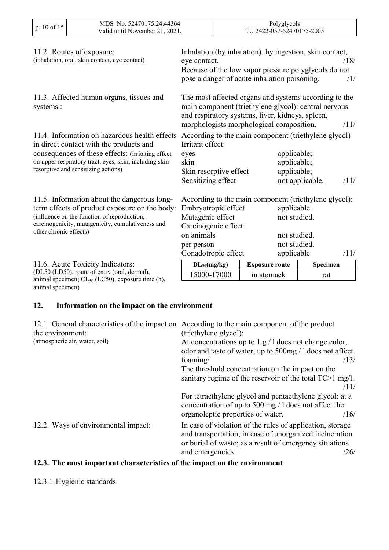| p. 10 of 15                                                                                                                                                                                                                                     | MDS No. 52470175.24.44364<br>Valid until November 21, 2021.                      | Polyglycols<br>TU 2422-057-52470175-2005                                                                           |  |                                                                                              |                                                                                                                                            |
|-------------------------------------------------------------------------------------------------------------------------------------------------------------------------------------------------------------------------------------------------|----------------------------------------------------------------------------------|--------------------------------------------------------------------------------------------------------------------|--|----------------------------------------------------------------------------------------------|--------------------------------------------------------------------------------------------------------------------------------------------|
|                                                                                                                                                                                                                                                 | 11.2. Routes of exposure:<br>(inhalation, oral, skin contact, eye contact)       | eye contact.                                                                                                       |  | pose a danger of acute inhalation poisoning.                                                 | Inhalation (by inhalation), by ingestion, skin contact,<br>/18/<br>Because of the low vapor pressure polyglycols do not<br>/1/             |
| 11.3. Affected human organs, tissues and<br>systems:                                                                                                                                                                                            |                                                                                  |                                                                                                                    |  | and respiratory systems, liver, kidneys, spleen,<br>morphologists morphological composition. | The most affected organs and systems according to the<br>main component (triethylene glycol): central nervous<br>/11/                      |
| 11.4. Information on hazardous health effects<br>in direct contact with the products and<br>consequences of these effects: (irritating effect)<br>on upper respiratory tract, eyes, skin, including skin<br>resorptive and sensitizing actions) |                                                                                  | Irritant effect:<br>eyes<br>skin<br>Skin resorptive effect<br>Sensitizing effect                                   |  |                                                                                              | According to the main component (triethylene glycol)<br>applicable;<br>applicable;<br>applicable;<br>not applicable.<br>/11/               |
| 11.5. Information about the dangerous long-<br>term effects of product exposure on the body:<br>(influence on the function of reproduction,<br>carcinogenicity, mutagenicity, cumulativeness and<br>other chronic effects)                      |                                                                                  | Embryotropic effect<br>Mutagenic effect<br>Carcinogenic effect:<br>on animals<br>per person<br>Gonadotropic effect |  |                                                                                              | According to the main component (triethylene glycol):<br>applicable.<br>not studied.<br>not studied.<br>not studied.<br>applicable<br>/11/ |
|                                                                                                                                                                                                                                                 | 11.6. Acute Toxicity Indicators:<br>(DL50 (LD50), route of entry (oral, dermal), | $DL_{50}(mg/kg)$<br>15000-17000                                                                                    |  | <b>Exposure route</b><br>in stomack                                                          | Specimen<br>rat                                                                                                                            |
| animal specimen)                                                                                                                                                                                                                                | animal specimen; $CL_{50}$ (LC50), exposure time (h),                            |                                                                                                                    |  |                                                                                              |                                                                                                                                            |

# **12. Information on the impact on the environment**

| 12.1. General characteristics of the impact on According to the main component of the product<br>(triethylene glycol):                                                                                      |
|-------------------------------------------------------------------------------------------------------------------------------------------------------------------------------------------------------------|
| At concentrations up to $1 \text{ g} / 1$ does not change color,                                                                                                                                            |
| odor and taste of water, up to 500mg / 1 does not affect                                                                                                                                                    |
| /13/<br>foaming/                                                                                                                                                                                            |
| The threshold concentration on the impact on the                                                                                                                                                            |
| sanitary regime of the reservoir of the total TC>1 mg/l.                                                                                                                                                    |
| /11/                                                                                                                                                                                                        |
| For tetraethylene glycol and pentaethylene glycol: at a<br>concentration of up to 500 mg $/1$ does not affect the                                                                                           |
| organoleptic properties of water.<br>/16/                                                                                                                                                                   |
| In case of violation of the rules of application, storage<br>and transportation; in case of unorganized incineration<br>or burial of waste; as a result of emergency situations<br>and emergencies.<br>/26/ |
|                                                                                                                                                                                                             |

# **12.3. The most important characteristics of the impact on the environment**

#### 12.3.1.Hygienic standards: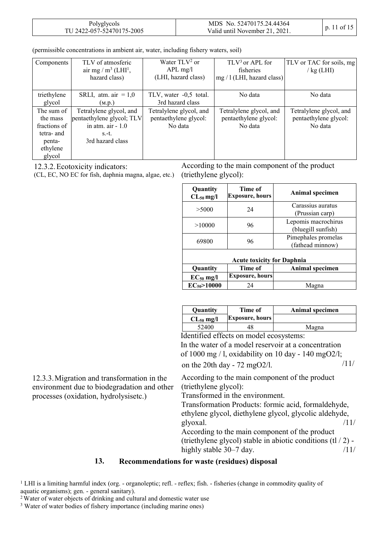| Polyglycols               | MDS No. 52470175.24.44364      | $p. 11$ of 15 |
|---------------------------|--------------------------------|---------------|
| TU 2422-057-52470175-2005 | Valid until November 21, 2021. |               |

|  | (permissible concentrations in ambient air, water, including fishery waters, soil) |  |  |  |  |  |  |  |
|--|------------------------------------------------------------------------------------|--|--|--|--|--|--|--|
|--|------------------------------------------------------------------------------------|--|--|--|--|--|--|--|

| Components            | TLV of atmosferic<br>air mg / $m^3$ (LHI <sup>1</sup> ,<br>hazard class) | Water $TLV2$ or<br>$APL$ mg/l<br>(LHI, hazard class) | $TLV3$ or APL for<br>fisheries<br>$mg/1$ (LHI, hazard class) | TLV or TAC for soils, mg<br>$\frac{1}{k}$ (LHI) |
|-----------------------|--------------------------------------------------------------------------|------------------------------------------------------|--------------------------------------------------------------|-------------------------------------------------|
| triethylene<br>glycol | SRLI, atm. air $= 1.0$<br>(M.p.)                                         | TLV, water -0,5 total.<br>3rd hazard class           | No data                                                      | No data                                         |
| The sum of            | Tetralylene glycol, and                                                  | Tetralylene glycol, and                              | Tetralylene glycol, and                                      | Tetralylene glycol, and                         |
| the mass              | pentaethylene glycol; TLV                                                | pentaethylene glycol:                                | pentaethylene glycol:                                        | pentaethylene glycol:                           |
| fractions of          | in atm. $air - 1.0$                                                      | No data                                              | No data                                                      | No data                                         |
| tetra- and            | $S.-t.$                                                                  |                                                      |                                                              |                                                 |
| penta-                | 3rd hazard class                                                         |                                                      |                                                              |                                                 |
| ethylene              |                                                                          |                                                      |                                                              |                                                 |
| glycol                |                                                                          |                                                      |                                                              |                                                 |

12.3.2.Ecotoxicity indicators:

(CL, EC, NO EC for fish, daphnia magna, algae, etc.)

According to the main component of the product (triethylene glycol):

| Quantity<br>$CL_{50}$ mg/l | Time of<br><b>Exposure, hours</b> | Animal specimen                           |
|----------------------------|-----------------------------------|-------------------------------------------|
| >5000                      | 24                                | Carassius auratus<br>(Prussian carp)      |
| >10000                     | 96                                | Lepomis macrochirus<br>(bluegill sunfish) |
| 69800                      | 96                                | Pimephales promelas<br>(fathead minnow)   |
|                            | A anta taminity fan Danhuig       |                                           |

| <b>Acute toxicity for Daphnia</b> |                        |                 |  |
|-----------------------------------|------------------------|-----------------|--|
| <b>Quantity</b>                   | Time of                | Animal specimen |  |
| $EC_{50}$ mg/l                    | <b>Exposure, hours</b> |                 |  |
| $EC_{50} > 10000$                 | 74                     | Magna           |  |
|                                   |                        |                 |  |

|     | <b>Ouantity</b>          | Time of         | Animal specimen |
|-----|--------------------------|-----------------|-----------------|
|     | $CL_{50}$ mg/l           | Exposure, hours |                 |
|     | 52400                    |                 | Magna           |
| ¥ 1 | $\cdots$ $\sim$ $\cdots$ |                 |                 |

Identified effects on model ecosystems: In the water of a model reservoir at a concentration of 1000 mg  $/$  l, oxidability on 10 day - 140 mgO2 $/$ l; on the 20th day - 72 mgO2/l.  $/11/$ 

12.3.3.Migration and transformation in the environment due to biodegradation and other processes (oxidation, hydrolysisetc.)

According to the main component of the product (triethylene glycol):

Transformed in the environment.

Transformation Products: formic acid, formaldehyde, ethylene glycol, diethylene glycol, glycolic aldehyde, glyoxal.  $/11/$ According to the main component of the product (triethylene glycol) stable in abiotic conditions (tl / 2) highly stable  $30-7$  day.  $/11/$ 

#### **13. Recommendations for waste (residues) disposal**

<sup>1</sup> LHI is a limiting harmful index (org. - organoleptic; refl. - reflex; fish. - fisheries (change in commodity quality of aquatic organisms); gen. - general sanitary).

<sup>2</sup> Water of water objects of drinking and cultural and domestic water use

<sup>3</sup> Water of water bodies of fishery importance (including marine ones)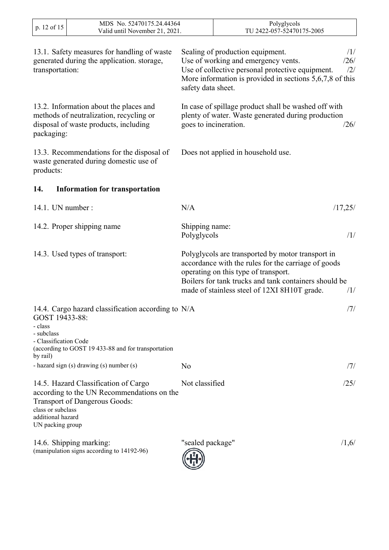| p. 12 of 15                                                                  | MDS No. 52470175.24.44364<br>Valid until November 21, 2021.                                                                |                               | Polyglycols<br>TU 2422-057-52470175-2005                                                                                                                                                                                                                         |
|------------------------------------------------------------------------------|----------------------------------------------------------------------------------------------------------------------------|-------------------------------|------------------------------------------------------------------------------------------------------------------------------------------------------------------------------------------------------------------------------------------------------------------|
| transportation:                                                              | 13.1. Safety measures for handling of waste<br>generated during the application. storage,                                  | safety data sheet.            | Sealing of production equipment.<br>/1/<br>Use of working and emergency vents.<br>/26/<br>Use of collective personal protective equipment.<br>/2/<br>More information is provided in sections $5,6,7,8$ of this                                                  |
| packaging:                                                                   | 13.2. Information about the places and<br>methods of neutralization, recycling or<br>disposal of waste products, including |                               | In case of spillage product shall be washed off with<br>plenty of water. Waste generated during production<br>goes to incineration.<br>/26/                                                                                                                      |
| products:                                                                    | 13.3. Recommendations for the disposal of<br>waste generated during domestic use of                                        |                               | Does not applied in household use.                                                                                                                                                                                                                               |
| 14.                                                                          | <b>Information for transportation</b>                                                                                      |                               |                                                                                                                                                                                                                                                                  |
| 14.1. UN number :                                                            |                                                                                                                            | N/A                           | /17,25/                                                                                                                                                                                                                                                          |
|                                                                              | 14.2. Proper shipping name                                                                                                 | Shipping name:<br>Polyglycols | /1/                                                                                                                                                                                                                                                              |
|                                                                              | 14.3. Used types of transport:                                                                                             |                               | Polyglycols are transported by motor transport in<br>accordance with the rules for the carriage of goods<br>operating on this type of transport.<br>Boilers for tank trucks and tank containers should be<br>made of stainless steel of 12XI 8H10T grade.<br>/1/ |
| GOST 19433-88:<br>- class<br>- subclass<br>- Classification Code<br>by rail) | 14.4. Cargo hazard classification according to N/A<br>(according to GOST 19 433-88 and for transportation                  |                               | /7/                                                                                                                                                                                                                                                              |
|                                                                              | - hazard sign (s) drawing (s) number (s)                                                                                   | N <sub>0</sub>                | /7/                                                                                                                                                                                                                                                              |
| class or subclass<br>additional hazard<br>UN packing group                   | 14.5. Hazard Classification of Cargo<br>according to the UN Recommendations on the<br><b>Transport of Dangerous Goods:</b> | Not classified                | /25/                                                                                                                                                                                                                                                             |
|                                                                              | 14.6. Shipping marking:<br>(manipulation signs according to 14192-96)                                                      | "sealed package"              | /1,6/                                                                                                                                                                                                                                                            |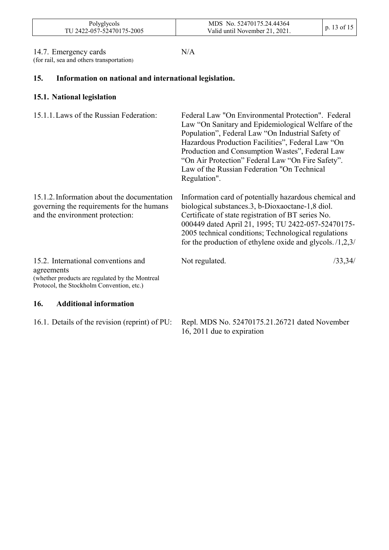| Polyglycols<br>TU 2422-057-52470175-2005 | MDS No. 52470175.24.44364<br>Valid until November 21, 2021. | p. 13 of 15 |  |
|------------------------------------------|-------------------------------------------------------------|-------------|--|
|------------------------------------------|-------------------------------------------------------------|-------------|--|

#### 14.7. Emergency cards

 $\mathbf{I}$ 

(for rail, sea and others transportation)

N/A

# **15. Information on national and international legislation.**

#### **15.1. National legislation**

| 15.1.1. Laws of the Russian Federation:                                                                                                           | Federal Law "On Environmental Protection". Federal<br>Law "On Sanitary and Epidemiological Welfare of the<br>Population", Federal Law "On Industrial Safety of<br>Hazardous Production Facilities", Federal Law "On<br>Production and Consumption Wastes", Federal Law<br>"On Air Protection" Federal Law "On Fire Safety".<br>Law of the Russian Federation "On Technical<br>Regulation". |
|---------------------------------------------------------------------------------------------------------------------------------------------------|--------------------------------------------------------------------------------------------------------------------------------------------------------------------------------------------------------------------------------------------------------------------------------------------------------------------------------------------------------------------------------------------|
| 15.1.2. Information about the documentation<br>governing the requirements for the humans<br>and the environment protection:                       | Information card of potentially hazardous chemical and<br>biological substances.3, b-Dioxaoctane-1,8 diol.<br>Certificate of state registration of BT series No.<br>000449 dated April 21, 1995; TU 2422-057-52470175-<br>2005 technical conditions; Technological regulations<br>for the production of ethylene oxide and glycols. $/1,2,3/$                                              |
| 15.2. International conventions and<br>agreements<br>(whether products are regulated by the Montreal<br>Protocol, the Stockholm Convention, etc.) | Not regulated.<br>/33,34/                                                                                                                                                                                                                                                                                                                                                                  |
| <b>Additional information</b><br>16.                                                                                                              |                                                                                                                                                                                                                                                                                                                                                                                            |

| 16.1. Details of the revision (reprint) of PU: Repl. MDS No. 52470175.21.26721 dated November |
|-----------------------------------------------------------------------------------------------|
| 16, 2011 due to expiration                                                                    |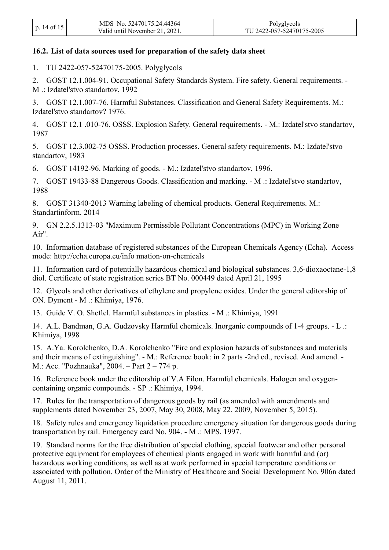|             | MDS No. 52470175.24.44364      | Polyglycols               |
|-------------|--------------------------------|---------------------------|
| p. 14 of 15 | Valid until November 21, 2021. | TU 2422-057-52470175-2005 |

#### **16.2. List of data sources used for preparation of the safety data sheet**

1. TU 2422-057-52470175-2005. Polyglycols

2. GOST 12.1.004-91. Occupational Safety Standards System. Fire safety. General requirements. - M .: Izdatel'stvo standartov, 1992

3. GOST 12.1.007-76. Harmful Substances. Classification and General Safety Requirements. М.: Izdatel'stvo standartov? 1976.

4. GOST 12.1 .010-76. OSSS. Explosion Safety. General requirements. - М.: Izdatel'stvo standartov, 1987

5. GOST 12.3.002-75 OSSS. Production processes. General safety requirements. М.: Izdatel'stvo standartov, 1983

6. GOST 14192-96. Marking of goods. - М.: Izdatel'stvo standartov, 1996.

7. GOST 19433-88 Dangerous Goods. Classification and marking. - М .: Izdatel'stvo standartov, 1988

8. GOST 31340-2013 Warning labeling of chemical products. General Requirements. M.: Standartinform. 2014

9. GN 2.2.5.1313-03 "Maximum Permissible Pollutant Concentrations (MPC) in Working Zone Air".

10. Information database of registered substances of the European Chemicals Agency (Echa). Access mode: [http://echa.europa.eu/info](http://echa.europa.eu/infonnation-on-chemicals) [nnation-on-chemicals](http://echa.europa.eu/infonnation-on-chemicals)

11. Information card of potentially hazardous chemical and biological substances. 3,6-dioxaoctane-1,8 diol. Certificate of state registration series BT No. 000449 dated April 21, 1995

12. Glycols and other derivatives of ethylene and propylene oxides. Under the general editorship of ON. Dyment - M .: Khimiya, 1976.

13. Guide V. O. Sheftel. Harmful substances in plastics. - M .: Khimiya, 1991

14. A.L. Bandman, G.A. Gudzovsky Harmful chemicals. Inorganic compounds of 1-4 groups. - L .: Khimiya, 1998

15. A.Ya. Korolchenko, D.A. Korolchenko "Fire and explosion hazards of substances and materials and their means of extinguishing". - M.: Reference book: in 2 parts -2nd ed., revised. And amend. - M.: Acc. "Pozhnauka", 2004. – Part 2 – 774 p.

16. Reference book under the editorship of V.A Filon. Harmful chemicals. Halogen and oxygencontaining organic compounds. - SP .: Khimiya, 1994.

17. Rules for the transportation of dangerous goods by rail (as amended with amendments and supplements dated November 23, 2007, May 30, 2008, May 22, 2009, November 5, 2015).

18. Safety rules and emergency liquidation procedure emergency situation for dangerous goods during transportation by rail. Emergency card No. 904. - M .: MPS, 1997.

19. Standard norms for the free distribution of special clothing, special footwear and other personal protective equipment for employees of chemical plants engaged in work with harmful and (or) hazardous working conditions, as well as at work performed in special temperature conditions or associated with pollution. Order of the Ministry of Healthcare and Social Development No. 906n dated August 11, 2011.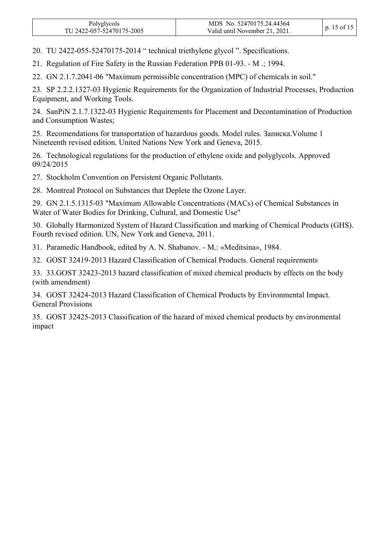| Polyglycols<br>TU 2422-057-52470175-2005 | MDS No. 52470175.24.44364<br>Valid until November 21, 2021. | p. 15 of 15 l |
|------------------------------------------|-------------------------------------------------------------|---------------|
|------------------------------------------|-------------------------------------------------------------|---------------|

20. TU 2422-055-52470175-2014 " technical triethylene glycol ". Specifications.

21. Regulation of Fire Safety in the Russian Federation PPB 01-93. - M .; 1994.

22. GN 2.1.7.2041-06 "Maximum permissible concentration (MPC) of chemicals in soil."

23. SP 2.2.2.1327-03 Hygienic Requirements for the Organization of Industrial Processes, Production Equipment, and Working Tools.

24. SanPiN 2.1.7.1322-03 Hygienic Requirements for Placement and Decontamination of Production and Consumption Wastes;

25. Recomendations for transportation of hazardous goods. Model rules. Записка.Volume 1 Nineteenth revised edition. United Nations New York and Geneva, 2015.

26. Technological regulations for the production of ethylene oxide and polyglycols. Approved 09/24/2015

27. Stockholm Convention on Persistent Organic Pollutants.

28. Montreal Protocol on Substances that Deplete the Ozone Layer.

29. GN 2.1.5.1315-03 "Maximum Allowable Concentrations (MACs) of Chemical Substances in Water of Water Bodies for Drinking, Cultural, and Domestic Use"

30. Globally Harmonized System of Hazard Classification and marking of Chemical Products (GHS). Fourth revised edition. UN, New York and Geneva, 2011.

31. Paramedic Handbook, edited by А. N. Shabanov. - М.: «Meditsina», 1984.

32. GOST 32419-2013 Hazard Classification of Chemical Products. General requirements

33. 33.GOST 32423-2013 hazard classification of mixed chemical products by effects on the body (with amendment)

34. GOST 32424-2013 Hazard Classification of Chemical Products by Environmental Impact. General Provisions

35. GOST 32425-2013 Classification of the hazard of mixed chemical products by environmental impact